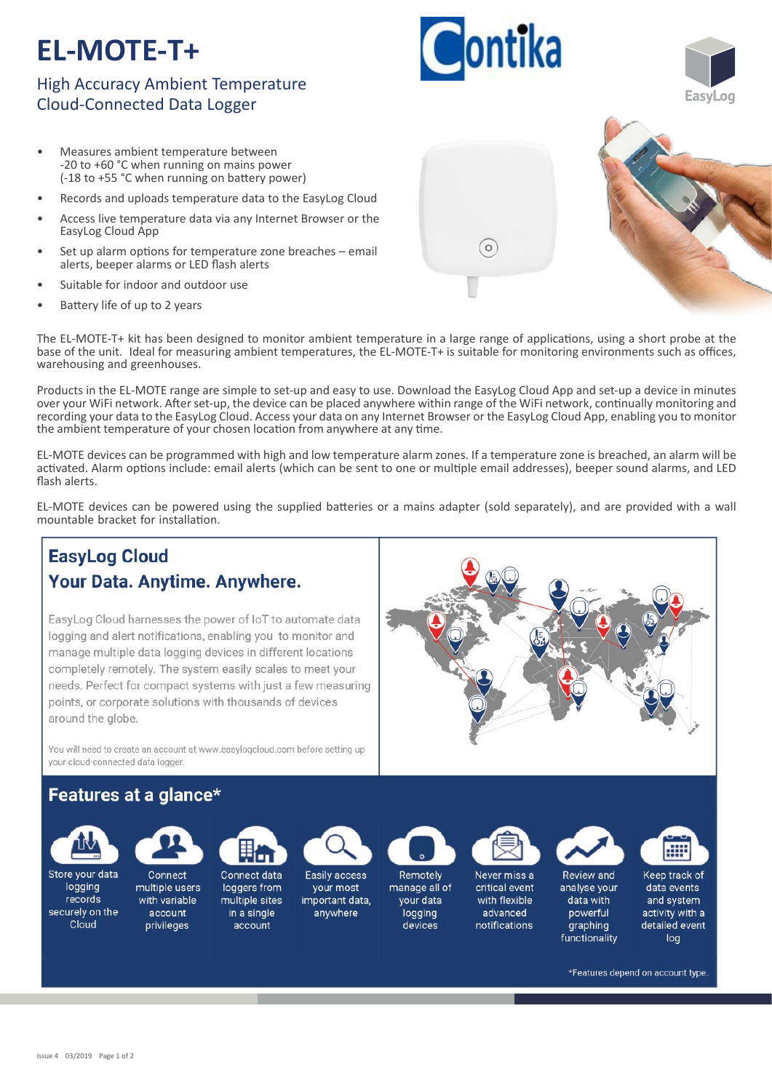# **EL-MOTE-T+**

# High Accuracy Ambient Temperature Cloud-Connected Data Logger

- Measures ambient temperature between -20 to +60 °C when running on mains power (-18 to +55 °C when running on battery power)
- Records and uploads temperature data to the EasyLog Cloud
- Access live temperature data via any Internet Browser or the EasyLog Cloud App
- Set up alarm options for temperature zone breaches email alerts, beeper alarms or LED flash alerts
- Suitable for indoor and outdoor use
- Battery life of up to 2 years

The EL-MOTE-T+ kit has been designed to monitor ambient temperature in a large range of applications, using a short probe at the base of the unit. Ideal for measuring ambient temperatures, the EL‐MOTE‐T+ is suitable for monitoring environments such as offices, warehousing and greenhouses.

Products in the EL‐MOTE range are simple to set‐up and easy to use. Download the EasyLog Cloud App and set‐up a device in minutes over your WiFi network. After set-up, the device can be placed anywhere within range of the WiFi network, continually monitoring and recording your data to the EasyLog Cloud. Access your data on any Internet Browser or the EasyLog Cloud App, enabling you to monitor the ambient temperature of your chosen location from anywhere at any time.

EL‐MOTE devices can be programmed with high and low temperature alarm zones. If a temperature zone is breached, an alarm will be activated. Alarm options include: email alerts (which can be sent to one or multiple email addresses), beeper sound alarms, and LED flash alerts.

EL-MOTE devices can be powered using the supplied batteries or a mains adapter (sold separately), and are provided with a wall mountable bracket for installation.

#### **EasyLog Cloud** Your Data. Anytime. Anywhere. EasyLog Cloud harnesses the power of IoT to automate data logging and alert notifications, enabling you to monitor and manage multiple data logging devices in different locations completely remotely. The system easily scales to meet your needs. Perfect for compact systems with just a few measuring points, or corporate solutions with thousands of devices around the globe. You will need to create an account at www.easylogcloud.com before setting up vour cloud-connected data logger. Features at a glance\* æ Store your data Connect data Connect Easily access Remotely Keep track of Never miss a Review and logging multiple users loggers from manage all of critical event your most analyse your data events records multiple sites your data with flexible with variable important data. data with and system securely on the account in a single anywhere logging advanced powerful activity with a Cloud privileges account devices notifications graphing detailed event functionality loa \*Features depend on account type.

 $\circ$